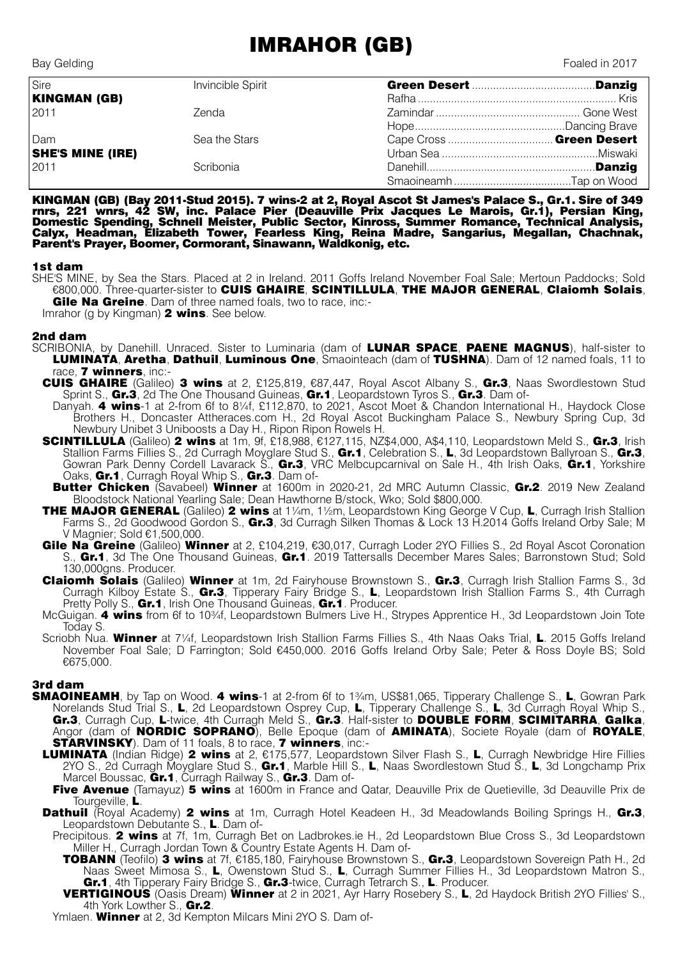## IMRAHOR (GB)

| Sire                    | Invincible Spirit |  |
|-------------------------|-------------------|--|
| <b>KINGMAN (GB)</b>     |                   |  |
| 2011                    | Zenda             |  |
|                         |                   |  |
| Dam                     | Sea the Stars     |  |
| <b>SHE'S MINE (IRE)</b> |                   |  |
| 2011                    | Scribonia         |  |
|                         |                   |  |

KINGMAN (GB) (Bay 2011-Stud 2015). 7 wins-2 at 2, Royal Ascot St James's Palace S., Gr.1. Sire of 349 rnrs, 221 wnrs, 42 SW, inc. Palace Pier (Deauville Prix Jacques Le Marois, Gr.1), Persian King, Domestic Spending, Schnell Meister, Public Sector, Kinross, Summer Romance, Technical Analysis, Calyx, Headman, Elizabeth Tower, Fearless King, Reina Madre, Sangarius, Megallan, Chachnak, Parent's Prayer, Boomer, Cormorant, Sinawann, Waldkonig, etc.

## 1st dam

SHE'S MINE, by Sea the Stars. Placed at 2 in Ireland. 2011 Goffs Ireland November Foal Sale; Mertoun Paddocks; Sold €800,000. Three-quarter-sister to CUIS GHAIRE, SCINTILLULA, THE MAJOR GENERAL, Claiomh Solais, **Gile Na Greine**. Dam of three named foals, two to race, inc:-

Imrahor (g by Kingman) **2 wins**. See below.

## 2nd dam

- SCRIBONIA, by Danehill. Unraced. Sister to Luminaria (dam of LUNAR SPACE, PAENE MAGNUS), half-sister to LUMINATA, Aretha, Dathuil, Luminous One, Smaointeach (dam of TUSHNA). Dam of 12 named foals, 11 to race, 7 winners, inc:-
	- CUIS GHAIRE (Galileo) 3 wins at 2, £125,819, €87,447, Royal Ascot Albany S., Gr.3, Naas Swordlestown Stud Sprint S., Gr.3, 2d The One Thousand Guineas, Gr.1, Leopardstown Tyros S., Gr.3. Dam of-
	- Danyah. 4 wins-1 at 2-from 6f to 8¼f, £112,870, to 2021, Ascot Moet & Chandon International H., Havdock Close Brothers H., Doncaster Attheraces.com H., 2d Royal Ascot Buckingham Palace S., Newbury Spring Cup, 3d Newbury Unibet 3 Uniboosts a Day H., Ripon Ripon Rowels H.
	- SCINTILLULA (Galileo) 2 wins at 1m, 9f, £18,988, €127,115, NZ\$4,000, A\$4,110, Leopardstown Meld S., Gr.3, Irish Stallion Farms Fillies S., 2d Curragh Moyglare Stud S., Gr.1, Celebration S., L, 3d Leopardstown Ballyroan S., Gr.3, Gowran Park Denny Cordell Lavarack S., Gr.3, VRC Melbcupcarnival on Sale H., 4th Irish Oaks, Gr.1, Yorkshire Oaks, Gr.1, Curragh Royal Whip S., Gr.3. Dam of-
	- **Butter Chicken** (Savabeel) **Winner** at 1600m in 2020-21, 2d MRC Autumn Classic, Gr.2. 2019 New Zealand Bloodstock National Yearling Sale; Dean Hawthorne B/stock, Wko; Sold \$800,000.
	- THE MAJOR GENERAL (Galileo) 2 wins at 1¼m, 1½m, Leopardstown King George V Cup, L, Curragh Irish Stallion Farms S., 2d Goodwood Gordon S., Gr.3, 3d Curragh Silken Thomas & Lock 13 H.2014 Goffs Ireland Orby Sale; M V Magnier; Sold €1,500,000.
	- Gile Na Greine (Galileo) Winner at 2, £104,219, €30,017, Curragh Loder 2YO Fillies S., 2d Royal Ascot Coronation S., Gr.1, 3d The One Thousand Guineas, Gr.1. 2019 Tattersalls December Mares Sales; Barronstown Stud; Sold 130,000gns. Producer.
	- Claiomh Solais (Galileo) Winner at 1m, 2d Fairyhouse Brownstown S., Gr.3, Curragh Irish Stallion Farms S., 3d Curragh Kilboy Estate S., Gr.3, Tipperary Fairy Bridge S., L, Leopardstown Irish Stallion Farms S., 4th Curragh Pretty Polly S., Gr.1, Irish One Thousand Guineas, Gr.1. Producer.
	- McGuigan. 4 wins from 6f to 10<sup>3</sup>/<sub>4</sub>f, Leopardstown Bulmers Live H., Strypes Apprentice H., 3d Leopardstown Join Tote Today S.
	- Scriobh Nua. Winner at 7¼f, Leopardstown Irish Stallion Farms Fillies S., 4th Naas Oaks Trial, L. 2015 Goffs Ireland November Foal Sale; D Farrington; Sold €450,000. 2016 Goffs Ireland Orby Sale; Peter & Ross Doyle BS; Sold €675,000.

## 3rd dam

- SMAOINEAMH, by Tap on Wood. 4 wins-1 at 2-from 6f to 1¾m, US\$81,065, Tipperary Challenge S., L, Gowran Park Norelands Stud Trial S., L, 2d Leopardstown Osprey Cup, L, Tipperary Challenge S., L, 3d Curragh Royal Whip S., Gr.3, Curragh Cup, L-twice, 4th Curragh Meld S., Gr.3. Half-sister to DOUBLE FORM, SCIMITARRA, Galka, Angor (dam of **NORDIC SOPRANO**), Belle Epoque (dam of **AMINATA**), Societe Royale (dam of ROYALE, **STARVINSKY**). Dam of 11 foals, 8 to race, 7 winners, inc:-
	- LUMINATA (Indian Ridge) 2 wins at 2, €175,577, Leopardstown Silver Flash S., L, Curragh Newbridge Hire Fillies 2YO S., 2d Curragh Moyglare Stud S., Gr.1, Marble Hill S., L. Naas Swordlestown Stud S., L. 3d Longchamp Prix Marcel Boussac, Gr.1, Curragh Railway S., Gr.3. Dam of-
	- Five Avenue (Tamayuz) 5 wins at 1600m in France and Qatar, Deauville Prix de Quetieville, 3d Deauville Prix de Tourgeville, L.
	- Dathuil (Royal Academy) 2 wins at 1m, Curragh Hotel Keadeen H., 3d Meadowlands Boiling Springs H., Gr.3, Leopardstown Debutante S., L. Dam of-
		- Precipitous. 2 wins at 7f, 1m, Curragh Bet on Ladbrokes.ie H., 2d Leopardstown Blue Cross S., 3d Leopardstown Miller H., Curragh Jordan Town & Country Estate Agents H. Dam of-
			- TOBANN (Teofilo) 3 wins at 7f, €185,180, Fairyhouse Brownstown S., Gr.3, Leopardstown Sovereign Path H., 2d Naas Sweet Mimosa S., L, Owenstown Stud S., L, Curragh Summer Fillies H., 3d Leopardstown Matron S., Gr.1, 4th Tipperary Fairy Bridge S., Gr.3-twice, Curragh Tetrarch S., L. Producer.
		- VERTIGINOUS (Oasis Dream) Winner at 2 in 2021, Ayr Harry Rosebery S., L, 2d Haydock British 2YO Fillies' S., 4th York Lowther S., Gr.2.

Ymlaen. Winner at 2, 3d Kempton Milcars Mini 2YO S. Dam of-